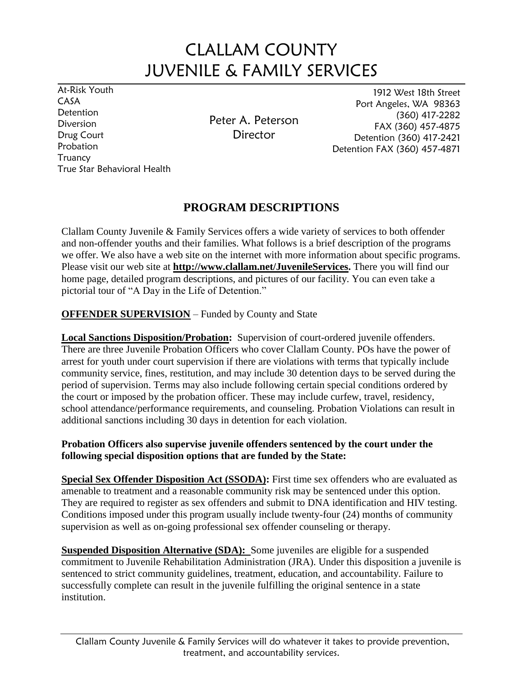# CLALLAM COUNTY JUVENILE & FAMILY SERVICES

At-Risk Youth CASA **Detention** Diversion Drug Court Probation **Truancy** True Star Behavioral Health

Peter A. Peterson **Director** 

1912 West 18th Street Port Angeles, WA 98363 (360) 417-2282 FAX (360) 457-4875 Detention (360) 417-2421 Detention FAX (360) 457-4871

## **PROGRAM DESCRIPTIONS**

Clallam County Juvenile & Family Services offers a wide variety of services to both offender and non-offender youths and their families. What follows is a brief description of the programs we offer. We also have a web site on the internet with more information about specific programs. Please visit our web site at **http://www.clallam.net/JuvenileServices.** There you will find our home page, detailed program descriptions, and pictures of our facility. You can even take a pictorial tour of "A Day in the Life of Detention."

## **OFFENDER SUPERVISION** – Funded by County and State

**Local Sanctions Disposition/Probation:** Supervision of court-ordered juvenile offenders. There are three Juvenile Probation Officers who cover Clallam County. POs have the power of arrest for youth under court supervision if there are violations with terms that typically include community service, fines, restitution, and may include 30 detention days to be served during the period of supervision. Terms may also include following certain special conditions ordered by the court or imposed by the probation officer. These may include curfew, travel, residency, school attendance/performance requirements, and counseling. Probation Violations can result in additional sanctions including 30 days in detention for each violation.

#### **Probation Officers also supervise juvenile offenders sentenced by the court under the following special disposition options that are funded by the State:**

**Special Sex Offender Disposition Act (SSODA):** First time sex offenders who are evaluated as amenable to treatment and a reasonable community risk may be sentenced under this option. They are required to register as sex offenders and submit to DNA identification and HIV testing. Conditions imposed under this program usually include twenty-four (24) months of community supervision as well as on-going professional sex offender counseling or therapy.

**Suspended Disposition Alternative (SDA):** Some juveniles are eligible for a suspended commitment to Juvenile Rehabilitation Administration (JRA). Under this disposition a juvenile is sentenced to strict community guidelines, treatment, education, and accountability. Failure to successfully complete can result in the juvenile fulfilling the original sentence in a state institution.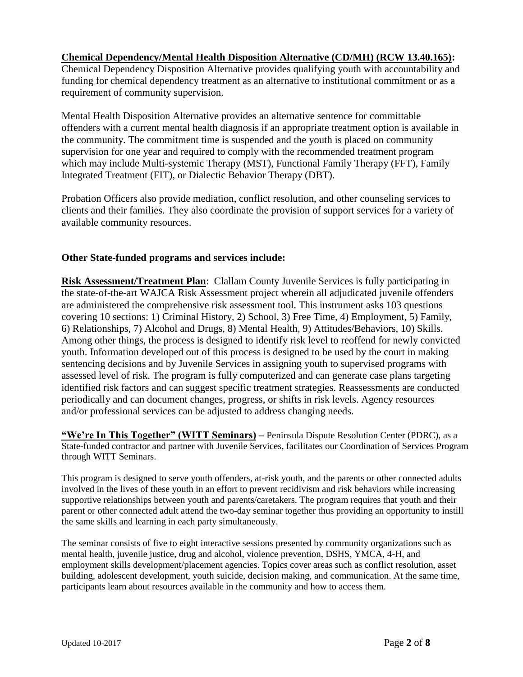#### **Chemical Dependency/Mental Health Disposition Alternative (CD/MH) (RCW 13.40.165):**

Chemical Dependency Disposition Alternative provides qualifying youth with accountability and funding for chemical dependency treatment as an alternative to institutional commitment or as a requirement of community supervision.

Mental Health Disposition Alternative provides an alternative sentence for committable offenders with a current mental health diagnosis if an appropriate treatment option is available in the community. The commitment time is suspended and the youth is placed on community supervision for one year and required to comply with the recommended treatment program which may include Multi-systemic Therapy (MST), Functional Family Therapy (FFT), Family Integrated Treatment (FIT), or Dialectic Behavior Therapy (DBT).

Probation Officers also provide mediation, conflict resolution, and other counseling services to clients and their families. They also coordinate the provision of support services for a variety of available community resources.

#### **Other State-funded programs and services include:**

**Risk Assessment/Treatment Plan**: Clallam County Juvenile Services is fully participating in the state-of-the-art WAJCA Risk Assessment project wherein all adjudicated juvenile offenders are administered the comprehensive risk assessment tool. This instrument asks 103 questions covering 10 sections: 1) Criminal History, 2) School, 3) Free Time, 4) Employment, 5) Family, 6) Relationships, 7) Alcohol and Drugs, 8) Mental Health, 9) Attitudes/Behaviors, 10) Skills. Among other things, the process is designed to identify risk level to reoffend for newly convicted youth. Information developed out of this process is designed to be used by the court in making sentencing decisions and by Juvenile Services in assigning youth to supervised programs with assessed level of risk. The program is fully computerized and can generate case plans targeting identified risk factors and can suggest specific treatment strategies. Reassessments are conducted periodically and can document changes, progress, or shifts in risk levels. Agency resources and/or professional services can be adjusted to address changing needs.

**"We're In This Together" (WITT Seminars) –** Peninsula Dispute Resolution Center (PDRC), as a State-funded contractor and partner with Juvenile Services, facilitates our Coordination of Services Program through WITT Seminars.

This program is designed to serve youth offenders, at-risk youth, and the parents or other connected adults involved in the lives of these youth in an effort to prevent recidivism and risk behaviors while increasing supportive relationships between youth and parents/caretakers. The program requires that youth and their parent or other connected adult attend the two-day seminar together thus providing an opportunity to instill the same skills and learning in each party simultaneously.

The seminar consists of five to eight interactive sessions presented by community organizations such as mental health, juvenile justice, drug and alcohol, violence prevention, DSHS, YMCA, 4-H, and employment skills development/placement agencies. Topics cover areas such as conflict resolution, asset building, adolescent development, youth suicide, decision making, and communication. At the same time, participants learn about resources available in the community and how to access them.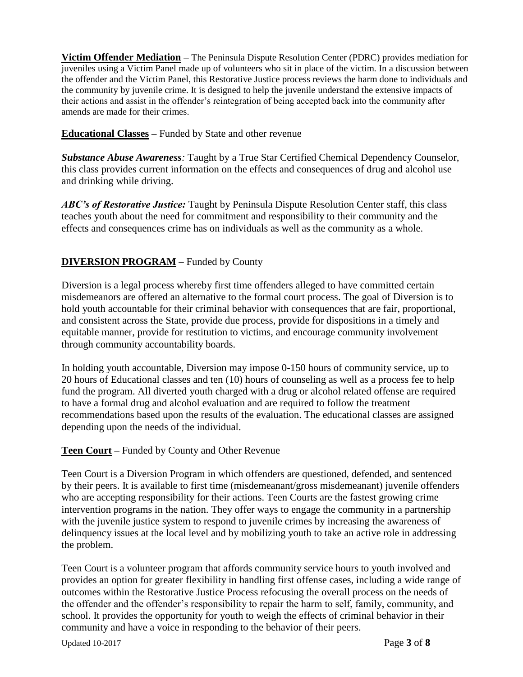**Victim Offender Mediation –** The Peninsula Dispute Resolution Center (PDRC) provides mediation for juveniles using a Victim Panel made up of volunteers who sit in place of the victim. In a discussion between the offender and the Victim Panel, this Restorative Justice process reviews the harm done to individuals and the community by juvenile crime. It is designed to help the juvenile understand the extensive impacts of their actions and assist in the offender's reintegration of being accepted back into the community after amends are made for their crimes.

**Educational Classes –** Funded by State and other revenue

*Substance Abuse Awareness:* Taught by a True Star Certified Chemical Dependency Counselor, this class provides current information on the effects and consequences of drug and alcohol use and drinking while driving.

*ABC's of Restorative Justice:* Taught by Peninsula Dispute Resolution Center staff, this class teaches youth about the need for commitment and responsibility to their community and the effects and consequences crime has on individuals as well as the community as a whole.

## **DIVERSION PROGRAM** – Funded by County

Diversion is a legal process whereby first time offenders alleged to have committed certain misdemeanors are offered an alternative to the formal court process. The goal of Diversion is to hold youth accountable for their criminal behavior with consequences that are fair, proportional, and consistent across the State, provide due process, provide for dispositions in a timely and equitable manner, provide for restitution to victims, and encourage community involvement through community accountability boards.

In holding youth accountable, Diversion may impose 0-150 hours of community service, up to 20 hours of Educational classes and ten (10) hours of counseling as well as a process fee to help fund the program. All diverted youth charged with a drug or alcohol related offense are required to have a formal drug and alcohol evaluation and are required to follow the treatment recommendations based upon the results of the evaluation. The educational classes are assigned depending upon the needs of the individual.

#### **Teen Court –** Funded by County and Other Revenue

Teen Court is a Diversion Program in which offenders are questioned, defended, and sentenced by their peers. It is available to first time (misdemeanant/gross misdemeanant) juvenile offenders who are accepting responsibility for their actions. Teen Courts are the fastest growing crime intervention programs in the nation. They offer ways to engage the community in a partnership with the juvenile justice system to respond to juvenile crimes by increasing the awareness of delinquency issues at the local level and by mobilizing youth to take an active role in addressing the problem.

Teen Court is a volunteer program that affords community service hours to youth involved and provides an option for greater flexibility in handling first offense cases, including a wide range of outcomes within the Restorative Justice Process refocusing the overall process on the needs of the offender and the offender's responsibility to repair the harm to self, family, community, and school. It provides the opportunity for youth to weigh the effects of criminal behavior in their community and have a voice in responding to the behavior of their peers.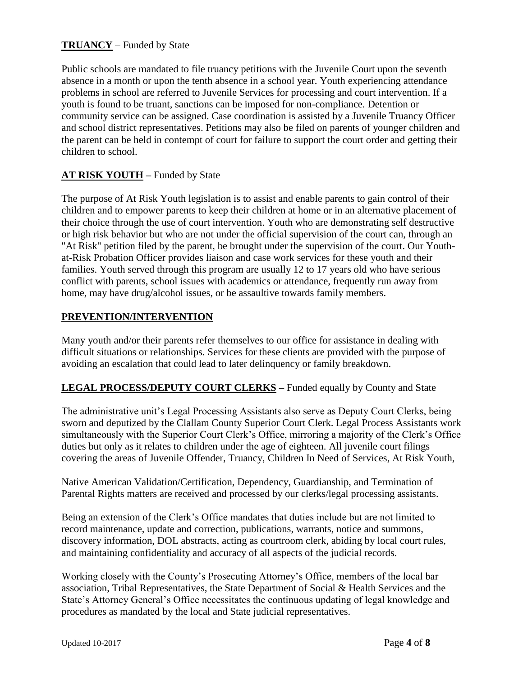## **TRUANCY** – Funded by State

Public schools are mandated to file truancy petitions with the Juvenile Court upon the seventh absence in a month or upon the tenth absence in a school year. Youth experiencing attendance problems in school are referred to Juvenile Services for processing and court intervention. If a youth is found to be truant, sanctions can be imposed for non-compliance. Detention or community service can be assigned. Case coordination is assisted by a Juvenile Truancy Officer and school district representatives. Petitions may also be filed on parents of younger children and the parent can be held in contempt of court for failure to support the court order and getting their children to school.

## **AT RISK YOUTH –** Funded by State

The purpose of At Risk Youth legislation is to assist and enable parents to gain control of their children and to empower parents to keep their children at home or in an alternative placement of their choice through the use of court intervention. Youth who are demonstrating self destructive or high risk behavior but who are not under the official supervision of the court can, through an "At Risk" petition filed by the parent, be brought under the supervision of the court. Our Youthat-Risk Probation Officer provides liaison and case work services for these youth and their families. Youth served through this program are usually 12 to 17 years old who have serious conflict with parents, school issues with academics or attendance, frequently run away from home, may have drug/alcohol issues, or be assaultive towards family members.

## **PREVENTION/INTERVENTION**

Many youth and/or their parents refer themselves to our office for assistance in dealing with difficult situations or relationships. Services for these clients are provided with the purpose of avoiding an escalation that could lead to later delinquency or family breakdown.

#### **LEGAL PROCESS/DEPUTY COURT CLERKS –** Funded equally by County and State

The administrative unit's Legal Processing Assistants also serve as Deputy Court Clerks, being sworn and deputized by the Clallam County Superior Court Clerk. Legal Process Assistants work simultaneously with the Superior Court Clerk's Office, mirroring a majority of the Clerk's Office duties but only as it relates to children under the age of eighteen. All juvenile court filings covering the areas of Juvenile Offender, Truancy, Children In Need of Services, At Risk Youth,

Native American Validation/Certification, Dependency, Guardianship, and Termination of Parental Rights matters are received and processed by our clerks/legal processing assistants.

Being an extension of the Clerk's Office mandates that duties include but are not limited to record maintenance, update and correction, publications, warrants, notice and summons, discovery information, DOL abstracts, acting as courtroom clerk, abiding by local court rules, and maintaining confidentiality and accuracy of all aspects of the judicial records.

Working closely with the County's Prosecuting Attorney's Office, members of the local bar association, Tribal Representatives, the State Department of Social & Health Services and the State's Attorney General's Office necessitates the continuous updating of legal knowledge and procedures as mandated by the local and State judicial representatives.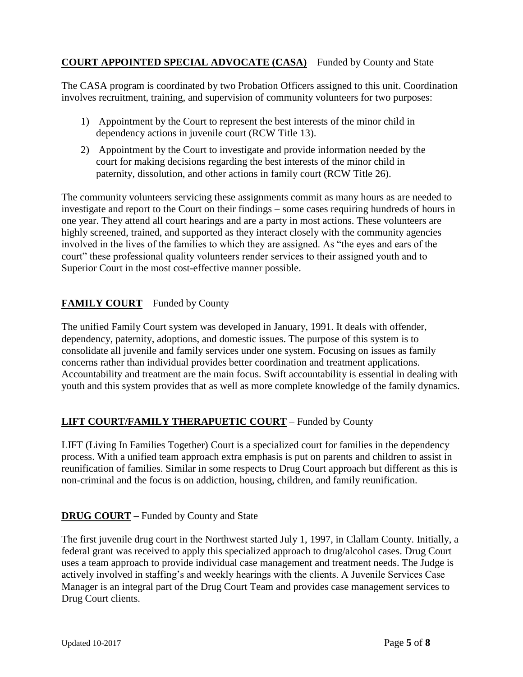## **COURT APPOINTED SPECIAL ADVOCATE (CASA)** – Funded by County and State

The CASA program is coordinated by two Probation Officers assigned to this unit. Coordination involves recruitment, training, and supervision of community volunteers for two purposes:

- 1) Appointment by the Court to represent the best interests of the minor child in dependency actions in juvenile court (RCW Title 13).
- 2) Appointment by the Court to investigate and provide information needed by the court for making decisions regarding the best interests of the minor child in paternity, dissolution, and other actions in family court (RCW Title 26).

The community volunteers servicing these assignments commit as many hours as are needed to investigate and report to the Court on their findings – some cases requiring hundreds of hours in one year. They attend all court hearings and are a party in most actions. These volunteers are highly screened, trained, and supported as they interact closely with the community agencies involved in the lives of the families to which they are assigned. As "the eyes and ears of the court" these professional quality volunteers render services to their assigned youth and to Superior Court in the most cost-effective manner possible.

## **FAMILY COURT** – Funded by County

The unified Family Court system was developed in January, 1991. It deals with offender, dependency, paternity, adoptions, and domestic issues. The purpose of this system is to consolidate all juvenile and family services under one system. Focusing on issues as family concerns rather than individual provides better coordination and treatment applications. Accountability and treatment are the main focus. Swift accountability is essential in dealing with youth and this system provides that as well as more complete knowledge of the family dynamics.

## **LIFT COURT/FAMILY THERAPUETIC COURT** – Funded by County

LIFT (Living In Families Together) Court is a specialized court for families in the dependency process. With a unified team approach extra emphasis is put on parents and children to assist in reunification of families. Similar in some respects to Drug Court approach but different as this is non-criminal and the focus is on addiction, housing, children, and family reunification.

## **DRUG COURT –** Funded by County and State

The first juvenile drug court in the Northwest started July 1, 1997, in Clallam County. Initially, a federal grant was received to apply this specialized approach to drug/alcohol cases. Drug Court uses a team approach to provide individual case management and treatment needs. The Judge is actively involved in staffing's and weekly hearings with the clients. A Juvenile Services Case Manager is an integral part of the Drug Court Team and provides case management services to Drug Court clients.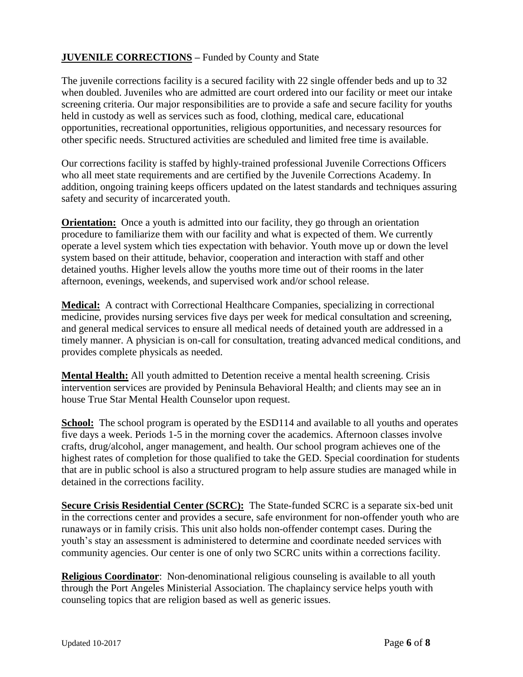## **JUVENILE CORRECTIONS –** Funded by County and State

The juvenile corrections facility is a secured facility with 22 single offender beds and up to 32 when doubled. Juveniles who are admitted are court ordered into our facility or meet our intake screening criteria. Our major responsibilities are to provide a safe and secure facility for youths held in custody as well as services such as food, clothing, medical care, educational opportunities, recreational opportunities, religious opportunities, and necessary resources for other specific needs. Structured activities are scheduled and limited free time is available.

Our corrections facility is staffed by highly-trained professional Juvenile Corrections Officers who all meet state requirements and are certified by the Juvenile Corrections Academy. In addition, ongoing training keeps officers updated on the latest standards and techniques assuring safety and security of incarcerated youth.

**Orientation:** Once a youth is admitted into our facility, they go through an orientation procedure to familiarize them with our facility and what is expected of them. We currently operate a level system which ties expectation with behavior. Youth move up or down the level system based on their attitude, behavior, cooperation and interaction with staff and other detained youths. Higher levels allow the youths more time out of their rooms in the later afternoon, evenings, weekends, and supervised work and/or school release.

**Medical:** A contract with Correctional Healthcare Companies, specializing in correctional medicine, provides nursing services five days per week for medical consultation and screening, and general medical services to ensure all medical needs of detained youth are addressed in a timely manner. A physician is on-call for consultation, treating advanced medical conditions, and provides complete physicals as needed.

**Mental Health:** All youth admitted to Detention receive a mental health screening. Crisis intervention services are provided by Peninsula Behavioral Health; and clients may see an in house True Star Mental Health Counselor upon request.

**School:** The school program is operated by the ESD114 and available to all youths and operates five days a week. Periods 1-5 in the morning cover the academics. Afternoon classes involve crafts, drug/alcohol, anger management, and health. Our school program achieves one of the highest rates of completion for those qualified to take the GED. Special coordination for students that are in public school is also a structured program to help assure studies are managed while in detained in the corrections facility.

**Secure Crisis Residential Center (SCRC):** The State-funded SCRC is a separate six-bed unit in the corrections center and provides a secure, safe environment for non-offender youth who are runaways or in family crisis. This unit also holds non-offender contempt cases. During the youth's stay an assessment is administered to determine and coordinate needed services with community agencies. Our center is one of only two SCRC units within a corrections facility.

**Religious Coordinator:** Non-denominational religious counseling is available to all youth through the Port Angeles Ministerial Association. The chaplaincy service helps youth with counseling topics that are religion based as well as generic issues.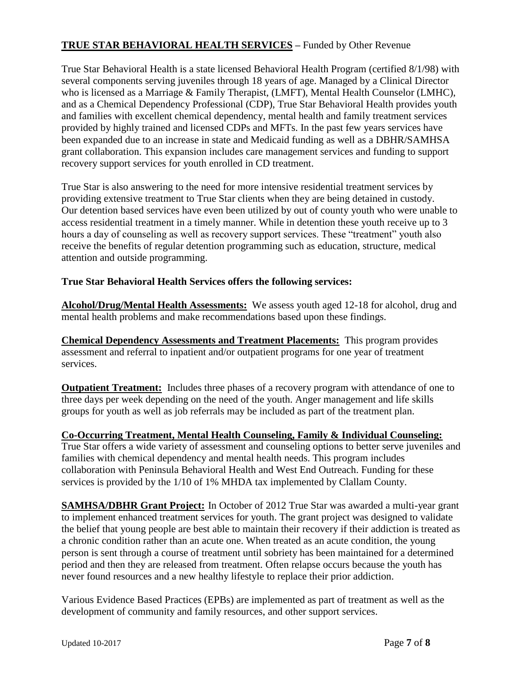## **TRUE STAR BEHAVIORAL HEALTH SERVICES –** Funded by Other Revenue

True Star Behavioral Health is a state licensed Behavioral Health Program (certified 8/1/98) with several components serving juveniles through 18 years of age. Managed by a Clinical Director who is licensed as a Marriage & Family Therapist, (LMFT), Mental Health Counselor (LMHC), and as a Chemical Dependency Professional (CDP), True Star Behavioral Health provides youth and families with excellent chemical dependency, mental health and family treatment services provided by highly trained and licensed CDPs and MFTs. In the past few years services have been expanded due to an increase in state and Medicaid funding as well as a DBHR/SAMHSA grant collaboration. This expansion includes care management services and funding to support recovery support services for youth enrolled in CD treatment.

True Star is also answering to the need for more intensive residential treatment services by providing extensive treatment to True Star clients when they are being detained in custody. Our detention based services have even been utilized by out of county youth who were unable to access residential treatment in a timely manner. While in detention these youth receive up to 3 hours a day of counseling as well as recovery support services. These "treatment" youth also receive the benefits of regular detention programming such as education, structure, medical attention and outside programming.

## **True Star Behavioral Health Services offers the following services:**

**Alcohol/Drug/Mental Health Assessments:** We assess youth aged 12-18 for alcohol, drug and mental health problems and make recommendations based upon these findings.

**Chemical Dependency Assessments and Treatment Placements:** This program provides assessment and referral to inpatient and/or outpatient programs for one year of treatment services.

**Outpatient Treatment:** Includes three phases of a recovery program with attendance of one to three days per week depending on the need of the youth. Anger management and life skills groups for youth as well as job referrals may be included as part of the treatment plan.

#### **Co-Occurring Treatment, Mental Health Counseling, Family & Individual Counseling:** True Star offers a wide variety of assessment and counseling options to better serve juveniles and families with chemical dependency and mental health needs. This program includes collaboration with Peninsula Behavioral Health and West End Outreach. Funding for these services is provided by the 1/10 of 1% MHDA tax implemented by Clallam County.

**SAMHSA/DBHR Grant Project:** In October of 2012 True Star was awarded a multi-year grant to implement enhanced treatment services for youth. The grant project was designed to validate the belief that young people are best able to maintain their recovery if their addiction is treated as a chronic condition rather than an acute one. When treated as an acute condition, the young person is sent through a course of treatment until sobriety has been maintained for a determined period and then they are released from treatment. Often relapse occurs because the youth has never found resources and a new healthy lifestyle to replace their prior addiction.

Various Evidence Based Practices (EPBs) are implemented as part of treatment as well as the development of community and family resources, and other support services.